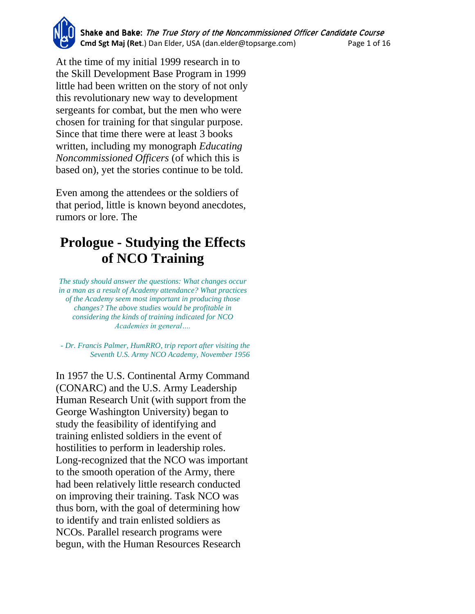At the time of my initial 1999 research in to the Skill Development Base Program in 1999 little had been written on the story of not only this revolutionary new way to development sergeants for combat, but the men who were chosen for training for that singular purpose. Since that time there were at least 3 books written, including my monograph *Educating Noncommissioned Officers* (of which this is based on), yet the stories continue to be told.

Even among the attendees or the soldiers of that period, little is known beyond anecdotes, rumors or lore. The

# **Prologue - Studying the Effects of NCO Training**

*The study should answer the questions: What changes occur in a man as a result of Academy attendance? What practices of the Academy seem most important in producing those changes? The above studies would be profitable in considering the kinds of training indicated for NCO Academies in general….*

*- Dr. Francis Palmer, HumRRO, trip report after visiting the Seventh U.S. Army NCO Academy, November 1956*

In 1957 the U.S. Continental Army Command (CONARC) and the U.S. Army Leadership Human Research Unit (with support from the George Washington University) began to study the feasibility of identifying and training enlisted soldiers in the event of hostilities to perform in leadership roles. Long-recognized that the NCO was important to the smooth operation of the Army, there had been relatively little research conducted on improving their training. Task NCO was thus born, with the goal of determining how to identify and train enlisted soldiers as NCOs. Parallel research programs were begun, with the Human Resources Research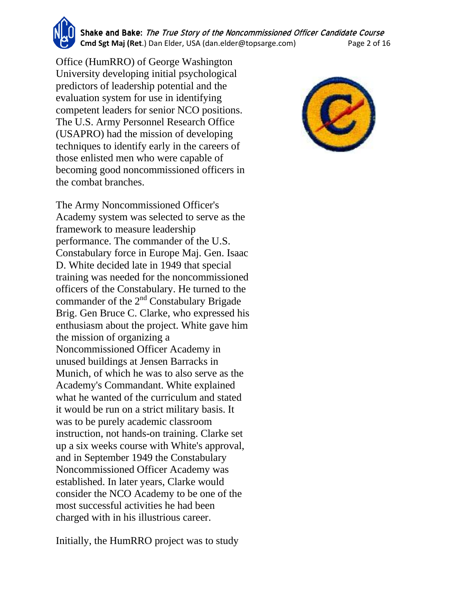**Shake and Bake:** The True Story of the Noncommissioned Officer Candidate Course **Cmd Sgt Maj (Ret**.) Dan Elder, USA (dan.elder@topsarge.com) Page 2 of 16

Office (HumRRO) of George Washington University developing initial psychological predictors of leadership potential and the evaluation system for use in identifying competent leaders for senior NCO positions. The U.S. Army Personnel Research Office (USAPRO) had the mission of developing techniques to identify early in the careers of those enlisted men who were capable of becoming good noncommissioned officers in the combat branches.

The Army Noncommissioned Officer's Academy system was selected to serve as the framework to measure leadership performance. The commander of the U.S. Constabulary force in Europe Maj. Gen. Isaac D. White decided late in 1949 that special training was needed for the noncommissioned officers of the Constabulary. He turned to the commander of the  $2<sup>nd</sup>$  Constabulary Brigade Brig. Gen Bruce C. Clarke, who expressed his enthusiasm about the project. White gave him the mission of organizing a Noncommissioned Officer Academy in unused buildings at Jensen Barracks in Munich, of which he was to also serve as the Academy's Commandant. White explained what he wanted of the curriculum and stated it would be run on a strict military basis. It was to be purely academic classroom instruction, not hands-on training. Clarke set up a six weeks course with White's approval, and in September 1949 the Constabulary Noncommissioned Officer Academy was established. In later years, Clarke would consider the NCO Academy to be one of the most successful activities he had been charged with in his illustrious career.

Initially, the HumRRO project was to study

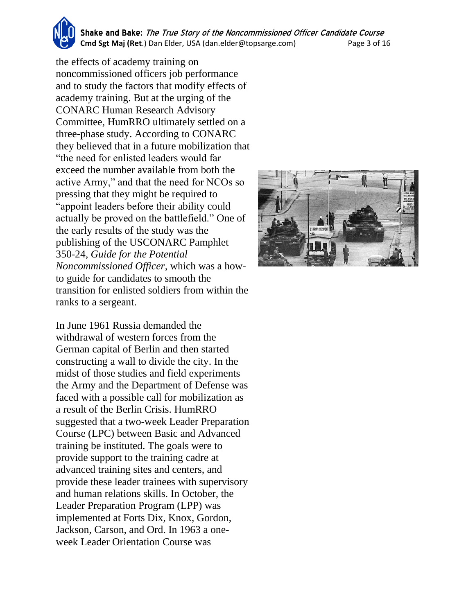**Shake and Bake:** The True Story of the Noncommissioned Officer Candidate Course **Cmd Sgt Maj (Ret**.) Dan Elder, USA (dan.elder@topsarge.com) Page 3 of 16

the effects of academy training on noncommissioned officers job performance and to study the factors that modify effects of academy training. But at the urging of the CONARC Human Research Advisory Committee, HumRRO ultimately settled on a three-phase study. According to CONARC they believed that in a future mobilization that "the need for enlisted leaders would far exceed the number available from both the active Army," and that the need for NCOs so pressing that they might be required to "appoint leaders before their ability could actually be proved on the battlefield." One of the early results of the study was the publishing of the USCONARC Pamphlet 350-24*, Guide for the Potential Noncommissioned Officer*, which was a howto guide for candidates to smooth the transition for enlisted soldiers from within the ranks to a sergeant.

In June 1961 Russia demanded the withdrawal of western forces from the German capital of Berlin and then started constructing a wall to divide the city. In the midst of those studies and field experiments the Army and the Department of Defense was faced with a possible call for mobilization as a result of the Berlin Crisis. HumRRO suggested that a two-week Leader Preparation Course (LPC) between Basic and Advanced training be instituted. The goals were to provide support to the training cadre at advanced training sites and centers, and provide these leader trainees with supervisory and human relations skills. In October, the Leader Preparation Program (LPP) was implemented at Forts Dix, Knox, Gordon, Jackson, Carson, and Ord. In 1963 a oneweek Leader Orientation Course was

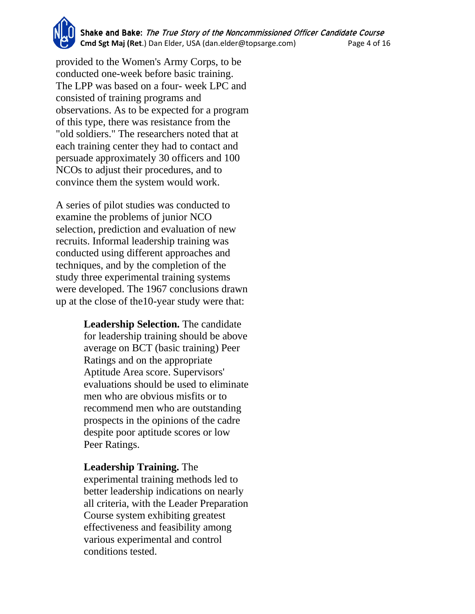**Shake and Bake:** The True Story of the Noncommissioned Officer Candidate Course **Cmd Sgt Maj (Ret**.) Dan Elder, USA (dan.elder@topsarge.com) Page 4 of 16

provided to the Women's Army Corps, to be conducted one-week before basic training. The LPP was based on a four- week LPC and consisted of training programs and observations. As to be expected for a program of this type, there was resistance from the "old soldiers." The researchers noted that at each training center they had to contact and persuade approximately 30 officers and 100 NCOs to adjust their procedures, and to convince them the system would work.

A series of pilot studies was conducted to examine the problems of junior NCO selection, prediction and evaluation of new recruits. Informal leadership training was conducted using different approaches and techniques, and by the completion of the study three experimental training systems were developed. The 1967 conclusions drawn up at the close of the10-year study were that:

> **Leadership Selection.** The candidate for leadership training should be above average on BCT (basic training) Peer Ratings and on the appropriate Aptitude Area score. Supervisors' evaluations should be used to eliminate men who are obvious misfits or to recommend men who are outstanding prospects in the opinions of the cadre despite poor aptitude scores or low Peer Ratings.

#### **Leadership Training.** The

experimental training methods led to better leadership indications on nearly all criteria, with the Leader Preparation Course system exhibiting greatest effectiveness and feasibility among various experimental and control conditions tested.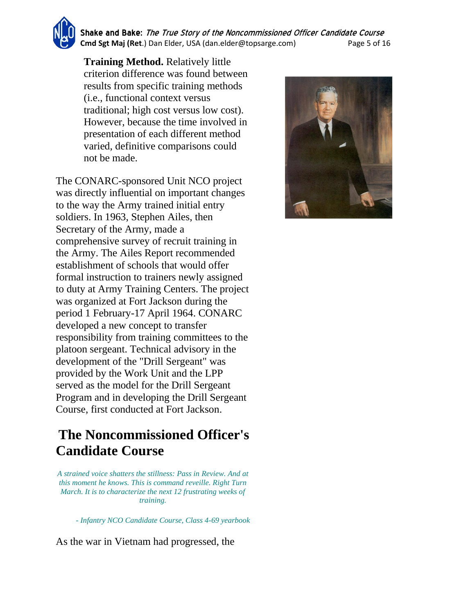**Shake and Bake:** The True Story of the Noncommissioned Officer Candidate Course **Cmd Sgt Maj (Ret**.) Dan Elder, USA (dan.elder@topsarge.com) Page 5 of 16

**Training Method.** Relatively little criterion difference was found between results from specific training methods (i.e., functional context versus traditional; high cost versus low cost). However, because the time involved in presentation of each different method varied, definitive comparisons could not be made.

The CONARC-sponsored Unit NCO project was directly influential on important changes to the way the Army trained initial entry soldiers. In 1963, Stephen Ailes, then Secretary of the Army, made a comprehensive survey of recruit training in the Army. The Ailes Report recommended establishment of schools that would offer formal instruction to trainers newly assigned to duty at Army Training Centers. The project was organized at Fort Jackson during the period 1 February-17 April 1964. CONARC developed a new concept to transfer responsibility from training committees to the platoon sergeant. Technical advisory in the development of the "Drill Sergeant" was provided by the Work Unit and the LPP served as the model for the Drill Sergeant Program and in developing the Drill Sergeant Course, first conducted at Fort Jackson.

## **The Noncommissioned Officer's Candidate Course**

*A strained voice shatters the stillness: Pass in Review. And at this moment he knows. This is command reveille. Right Turn March. It is to characterize the next 12 frustrating weeks of training.*

*- Infantry NCO Candidate Course, Class 4-69 yearbook*

As the war in Vietnam had progressed, the

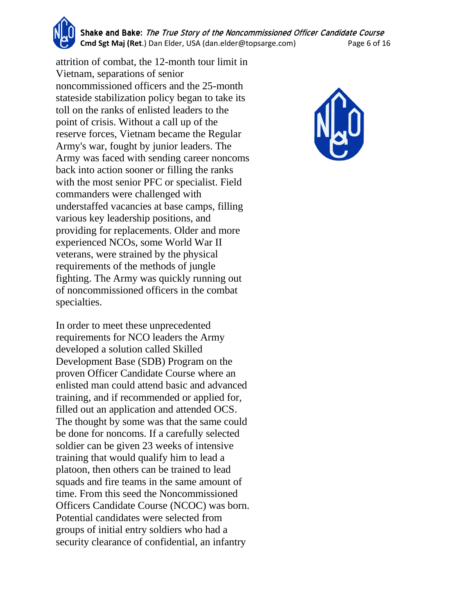**Shake and Bake:** The True Story of the Noncommissioned Officer Candidate Course **Cmd Sgt Maj (Ret**.) Dan Elder, USA (dan.elder@topsarge.com) Page 6 of 16

attrition of combat, the 12-month tour limit in Vietnam, separations of senior noncommissioned officers and the 25-month stateside stabilization policy began to take its toll on the ranks of enlisted leaders to the point of crisis. Without a call up of the reserve forces, Vietnam became the Regular Army's war, fought by junior leaders. The Army was faced with sending career noncoms back into action sooner or filling the ranks with the most senior PFC or specialist. Field commanders were challenged with understaffed vacancies at base camps, filling various key leadership positions, and providing for replacements. Older and more experienced NCOs, some World War II veterans, were strained by the physical requirements of the methods of jungle fighting. The Army was quickly running out of noncommissioned officers in the combat specialties.

In order to meet these unprecedented requirements for NCO leaders the Army developed a solution called Skilled Development Base (SDB) Program on the proven Officer Candidate Course where an enlisted man could attend basic and advanced training, and if recommended or applied for, filled out an application and attended OCS. The thought by some was that the same could be done for noncoms. If a carefully selected soldier can be given 23 weeks of intensive training that would qualify him to lead a platoon, then others can be trained to lead squads and fire teams in the same amount of time. From this seed the Noncommissioned Officers Candidate Course (NCOC) was born. Potential candidates were selected from groups of initial entry soldiers who had a security clearance of confidential, an infantry

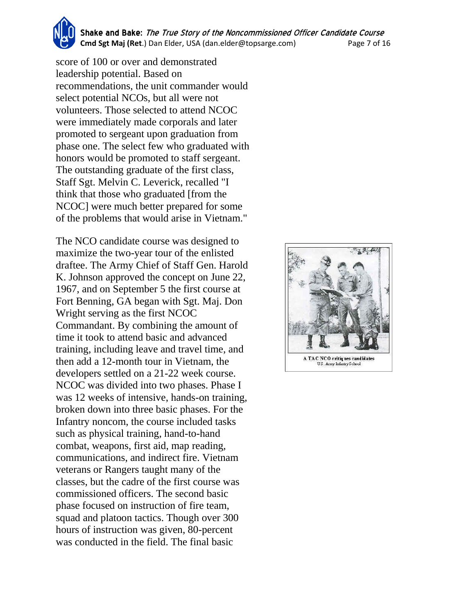**Shake and Bake:** The True Story of the Noncommissioned Officer Candidate Course **Cmd Sgt Maj (Ret**.) Dan Elder, USA (dan.elder@topsarge.com) Page 7 of 16

score of 100 or over and demonstrated leadership potential. Based on recommendations, the unit commander would select potential NCOs, but all were not volunteers. Those selected to attend NCOC were immediately made corporals and later promoted to sergeant upon graduation from phase one. The select few who graduated with honors would be promoted to staff sergeant. The outstanding graduate of the first class, Staff Sgt. Melvin C. Leverick, recalled "I think that those who graduated [from the NCOC] were much better prepared for some of the problems that would arise in Vietnam."

The NCO candidate course was designed to maximize the two-year tour of the enlisted draftee. The Army Chief of Staff Gen. Harold K. Johnson approved the concept on June 22, 1967, and on September 5 the first course at Fort Benning, GA began with Sgt. Maj. Don Wright serving as the first NCOC Commandant. By combining the amount of time it took to attend basic and advanced training, including leave and travel time, and then add a 12-month tour in Vietnam, the developers settled on a 21-22 week course. NCOC was divided into two phases. Phase I was 12 weeks of intensive, hands-on training, broken down into three basic phases. For the Infantry noncom, the course included tasks such as physical training, hand-to-hand combat, weapons, first aid, map reading, communications, and indirect fire. Vietnam veterans or Rangers taught many of the classes, but the cadre of the first course was commissioned officers. The second basic phase focused on instruction of fire team, squad and platoon tactics. Though over 300 hours of instruction was given, 80-percent was conducted in the field. The final basic

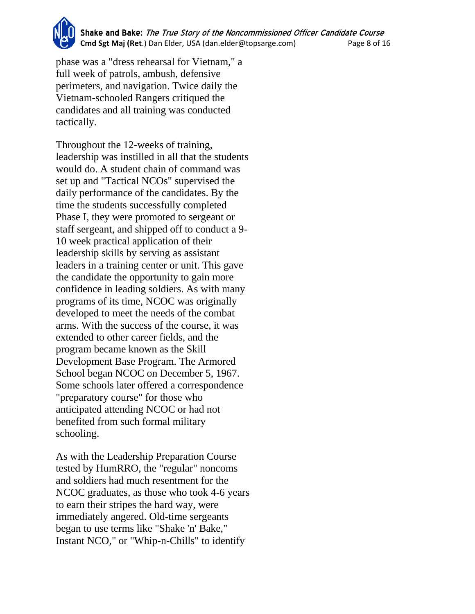**Shake and Bake:** The True Story of the Noncommissioned Officer Candidate Course **Cmd Sgt Maj (Ret**.) Dan Elder, USA (dan.elder@topsarge.com) Page 8 of 16

phase was a "dress rehearsal for Vietnam," a full week of patrols, ambush, defensive perimeters, and navigation. Twice daily the Vietnam-schooled Rangers critiqued the candidates and all training was conducted tactically.

Throughout the 12-weeks of training, leadership was instilled in all that the students would do. A student chain of command was set up and "Tactical NCOs" supervised the daily performance of the candidates. By the time the students successfully completed Phase I, they were promoted to sergeant or staff sergeant, and shipped off to conduct a 9- 10 week practical application of their leadership skills by serving as assistant leaders in a training center or unit. This gave the candidate the opportunity to gain more confidence in leading soldiers. As with many programs of its time, NCOC was originally developed to meet the needs of the combat arms. With the success of the course, it was extended to other career fields, and the program became known as the Skill Development Base Program. The Armored School began NCOC on December 5, 1967. Some schools later offered a correspondence "preparatory course" for those who anticipated attending NCOC or had not benefited from such formal military schooling.

As with the Leadership Preparation Course tested by HumRRO, the "regular" noncoms and soldiers had much resentment for the NCOC graduates, as those who took 4-6 years to earn their stripes the hard way, were immediately angered. Old-time sergeants began to use terms like "Shake 'n' Bake," Instant NCO," or "Whip-n-Chills" to identify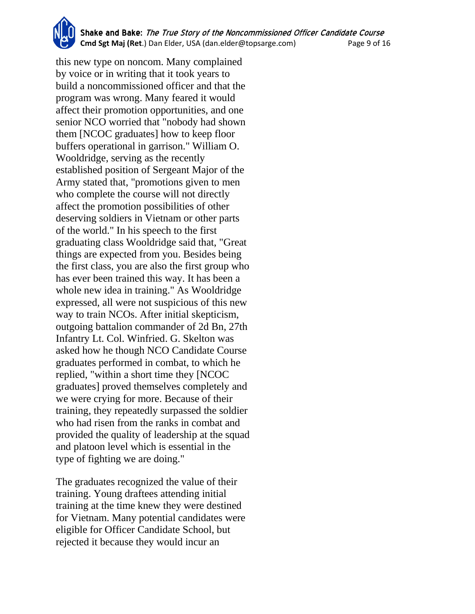**Shake and Bake:** The True Story of the Noncommissioned Officer Candidate Course **Cmd Sgt Maj (Ret**.) Dan Elder, USA (dan.elder@topsarge.com) Page 9 of 16

this new type on noncom. Many complained by voice or in writing that it took years to build a noncommissioned officer and that the program was wrong. Many feared it would affect their promotion opportunities, and one senior NCO worried that "nobody had shown them [NCOC graduates] how to keep floor buffers operational in garrison." William O. Wooldridge, serving as the recently established position of Sergeant Major of the Army stated that, "promotions given to men who complete the course will not directly affect the promotion possibilities of other deserving soldiers in Vietnam or other parts of the world." In his speech to the first graduating class Wooldridge said that, "Great things are expected from you. Besides being the first class, you are also the first group who has ever been trained this way. It has been a whole new idea in training." As Wooldridge expressed, all were not suspicious of this new way to train NCOs. After initial skepticism, outgoing battalion commander of 2d Bn, 27th Infantry Lt. Col. Winfried. G. Skelton was asked how he though NCO Candidate Course graduates performed in combat, to which he replied, "within a short time they [NCOC graduates] proved themselves completely and we were crying for more. Because of their training, they repeatedly surpassed the soldier who had risen from the ranks in combat and provided the quality of leadership at the squad and platoon level which is essential in the type of fighting we are doing."

The graduates recognized the value of their training. Young draftees attending initial training at the time knew they were destined for Vietnam. Many potential candidates were eligible for Officer Candidate School, but rejected it because they would incur an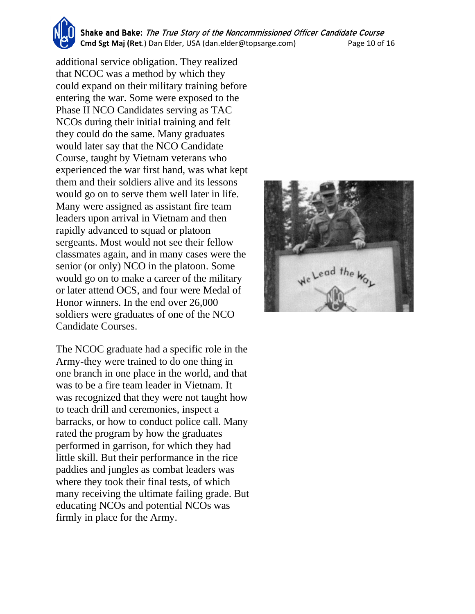**Shake and Bake:** The True Story of the Noncommissioned Officer Candidate Course **Cmd Sgt Maj (Ret**.) Dan Elder, USA (dan.elder@topsarge.com) Page 10 of 16

additional service obligation. They realized that NCOC was a method by which they could expand on their military training before entering the war. Some were exposed to the Phase II NCO Candidates serving as TAC NCOs during their initial training and felt they could do the same. Many graduates would later say that the NCO Candidate Course, taught by Vietnam veterans who experienced the war first hand, was what kept them and their soldiers alive and its lessons would go on to serve them well later in life. Many were assigned as assistant fire team leaders upon arrival in Vietnam and then rapidly advanced to squad or platoon sergeants. Most would not see their fellow classmates again, and in many cases were the senior (or only) NCO in the platoon. Some would go on to make a career of the military or later attend OCS, and four were Medal of Honor winners. In the end over 26,000 soldiers were graduates of one of the NCO Candidate Courses.

The NCOC graduate had a specific role in the Army-they were trained to do one thing in one branch in one place in the world, and that was to be a fire team leader in Vietnam. It was recognized that they were not taught how to teach drill and ceremonies, inspect a barracks, or how to conduct police call. Many rated the program by how the graduates performed in garrison, for which they had little skill. But their performance in the rice paddies and jungles as combat leaders was where they took their final tests, of which many receiving the ultimate failing grade. But educating NCOs and potential NCOs was firmly in place for the Army.

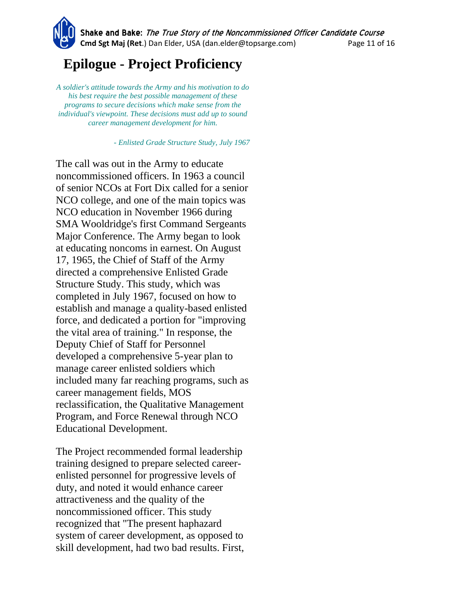**Shake and Bake:** The True Story of the Noncommissioned Officer Candidate Course **Cmd Sgt Maj (Ret**.) Dan Elder, USA (dan.elder@topsarge.com) Page 11 of 16

## **Epilogue - Project Proficiency**

*A soldier's attitude towards the Army and his motivation to do his best require the best possible management of these programs to secure decisions which make sense from the individual's viewpoint. These decisions must add up to sound career management development for him.*

*- Enlisted Grade Structure Study, July 1967*

The call was out in the Army to educate noncommissioned officers. In 1963 a council of senior NCOs at Fort Dix called for a senior NCO college, and one of the main topics was NCO education in November 1966 during SMA Wooldridge's first Command Sergeants Major Conference. The Army began to look at educating noncoms in earnest. On August 17, 1965, the Chief of Staff of the Army directed a comprehensive Enlisted Grade Structure Study. This study, which was completed in July 1967, focused on how to establish and manage a quality-based enlisted force, and dedicated a portion for "improving the vital area of training." In response, the Deputy Chief of Staff for Personnel developed a comprehensive 5-year plan to manage career enlisted soldiers which included many far reaching programs, such as career management fields, MOS reclassification, the Qualitative Management Program, and Force Renewal through NCO Educational Development.

The Project recommended formal leadership training designed to prepare selected careerenlisted personnel for progressive levels of duty, and noted it would enhance career attractiveness and the quality of the noncommissioned officer. This study recognized that "The present haphazard system of career development, as opposed to skill development, had two bad results. First,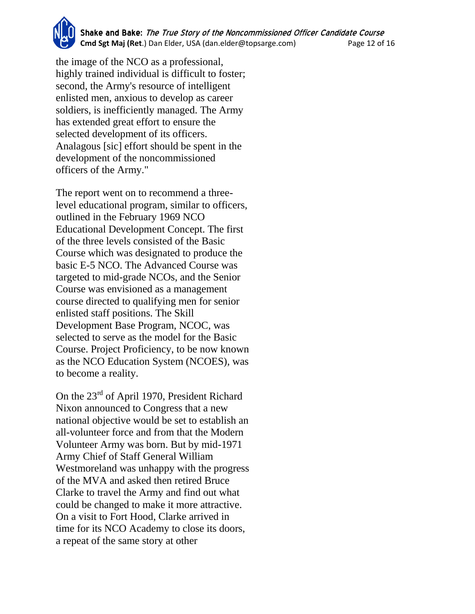**Shake and Bake:** The True Story of the Noncommissioned Officer Candidate Course **Cmd Sgt Maj (Ret**.) Dan Elder, USA (dan.elder@topsarge.com) Page 12 of 16

the image of the NCO as a professional, highly trained individual is difficult to foster; second, the Army's resource of intelligent enlisted men, anxious to develop as career soldiers, is inefficiently managed. The Army has extended great effort to ensure the selected development of its officers. Analagous [sic] effort should be spent in the development of the noncommissioned officers of the Army."

The report went on to recommend a threelevel educational program, similar to officers, outlined in the February 1969 NCO Educational Development Concept. The first of the three levels consisted of the Basic Course which was designated to produce the basic E-5 NCO. The Advanced Course was targeted to mid-grade NCOs, and the Senior Course was envisioned as a management course directed to qualifying men for senior enlisted staff positions. The Skill Development Base Program, NCOC, was selected to serve as the model for the Basic Course. Project Proficiency, to be now known as the NCO Education System (NCOES), was to become a reality.

On the 23rd of April 1970, President Richard Nixon announced to Congress that a new national objective would be set to establish an all-volunteer force and from that the Modern Volunteer Army was born. But by mid-1971 Army Chief of Staff General William Westmoreland was unhappy with the progress of the MVA and asked then retired Bruce Clarke to travel the Army and find out what could be changed to make it more attractive. On a visit to Fort Hood, Clarke arrived in time for its NCO Academy to close its doors, a repeat of the same story at other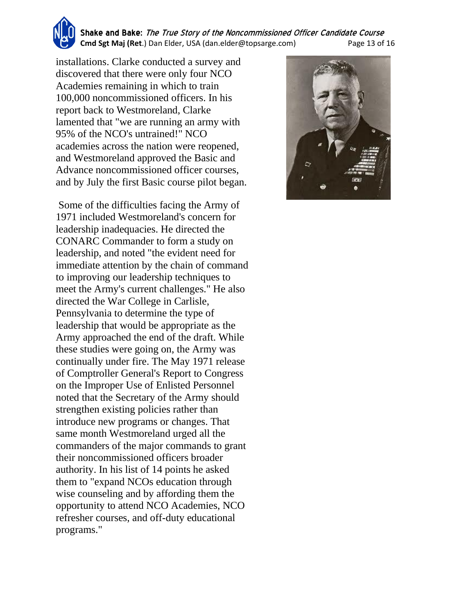**Shake and Bake:** The True Story of the Noncommissioned Officer Candidate Course **Cmd Sgt Maj (Ret**.) Dan Elder, USA (dan.elder@topsarge.com) Page 13 of 16

installations. Clarke conducted a survey and discovered that there were only four NCO Academies remaining in which to train 100,000 noncommissioned officers. In his report back to Westmoreland, Clarke lamented that "we are running an army with 95% of the NCO's untrained!" NCO academies across the nation were reopened, and Westmoreland approved the Basic and Advance noncommissioned officer courses, and by July the first Basic course pilot began.

Some of the difficulties facing the Army of 1971 included Westmoreland's concern for leadership inadequacies. He directed the CONARC Commander to form a study on leadership, and noted "the evident need for immediate attention by the chain of command to improving our leadership techniques to meet the Army's current challenges." He also directed the War College in Carlisle, Pennsylvania to determine the type of leadership that would be appropriate as the Army approached the end of the draft. While these studies were going on, the Army was continually under fire. The May 1971 release of Comptroller General's Report to Congress on the Improper Use of Enlisted Personnel noted that the Secretary of the Army should strengthen existing policies rather than introduce new programs or changes. That same month Westmoreland urged all the commanders of the major commands to grant their noncommissioned officers broader authority. In his list of 14 points he asked them to "expand NCOs education through wise counseling and by affording them the opportunity to attend NCO Academies, NCO refresher courses, and off-duty educational programs."

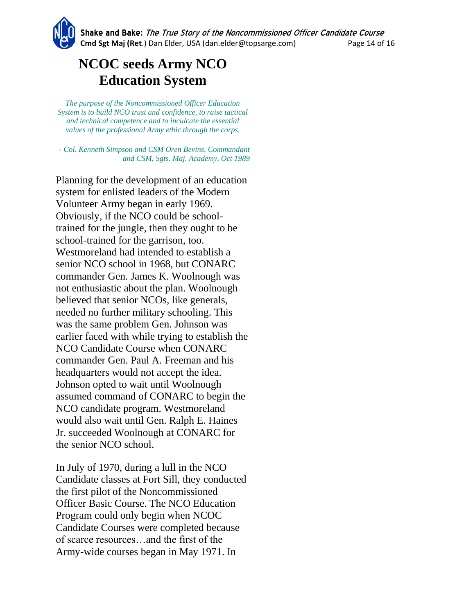## **NCOC seeds Army NCO Education System**

*The purpose of the Noncommissioned Officer Education System is to build NCO trust and confidence, to raise tactical and technical competence and to inculcate the essential values of the professional Army ethic through the corps.*

*- Col. Kenneth Simpson and CSM Oren Bevins, Commandant and CSM, Sgts. Maj. Academy, Oct 1989*

Planning for the development of an education system for enlisted leaders of the Modern Volunteer Army began in early 1969. Obviously, if the NCO could be schooltrained for the jungle, then they ought to be school-trained for the garrison, too. Westmoreland had intended to establish a senior NCO school in 1968, but CONARC commander Gen. James K. Woolnough was not enthusiastic about the plan. Woolnough believed that senior NCOs, like generals, needed no further military schooling. This was the same problem Gen. Johnson was earlier faced with while trying to establish the NCO Candidate Course when CONARC commander Gen. Paul A. Freeman and his headquarters would not accept the idea. Johnson opted to wait until Woolnough assumed command of CONARC to begin the NCO candidate program. Westmoreland would also wait until Gen. Ralph E. Haines Jr. succeeded Woolnough at CONARC for the senior NCO school.

In July of 1970, during a lull in the NCO Candidate classes at Fort Sill, they conducted the first pilot of the Noncommissioned Officer Basic Course. The NCO Education Program could only begin when NCOC Candidate Courses were completed because of scarce resources…and the first of the Army-wide courses began in May 1971. In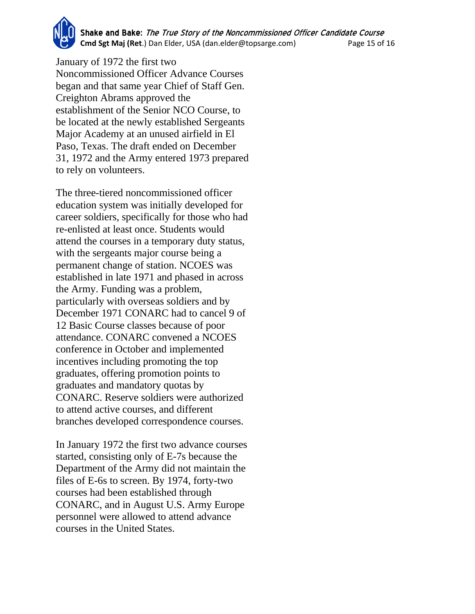**Shake and Bake:** The True Story of the Noncommissioned Officer Candidate Course **Cmd Sgt Maj (Ret**.) Dan Elder, USA (dan.elder@topsarge.com) Page 15 of 16

January of 1972 the first two Noncommissioned Officer Advance Courses began and that same year Chief of Staff Gen. Creighton Abrams approved the establishment of the Senior NCO Course, to be located at the newly established Sergeants Major Academy at an unused airfield in El Paso, Texas. The draft ended on December 31, 1972 and the Army entered 1973 prepared to rely on volunteers.

The three-tiered noncommissioned officer education system was initially developed for career soldiers, specifically for those who had re-enlisted at least once. Students would attend the courses in a temporary duty status, with the sergeants major course being a permanent change of station. NCOES was established in late 1971 and phased in across the Army. Funding was a problem, particularly with overseas soldiers and by December 1971 CONARC had to cancel 9 of 12 Basic Course classes because of poor attendance. CONARC convened a NCOES conference in October and implemented incentives including promoting the top graduates, offering promotion points to graduates and mandatory quotas by CONARC. Reserve soldiers were authorized to attend active courses, and different branches developed correspondence courses.

In January 1972 the first two advance courses started, consisting only of E-7s because the Department of the Army did not maintain the files of E-6s to screen. By 1974, forty-two courses had been established through CONARC, and in August U.S. Army Europe personnel were allowed to attend advance courses in the United States.